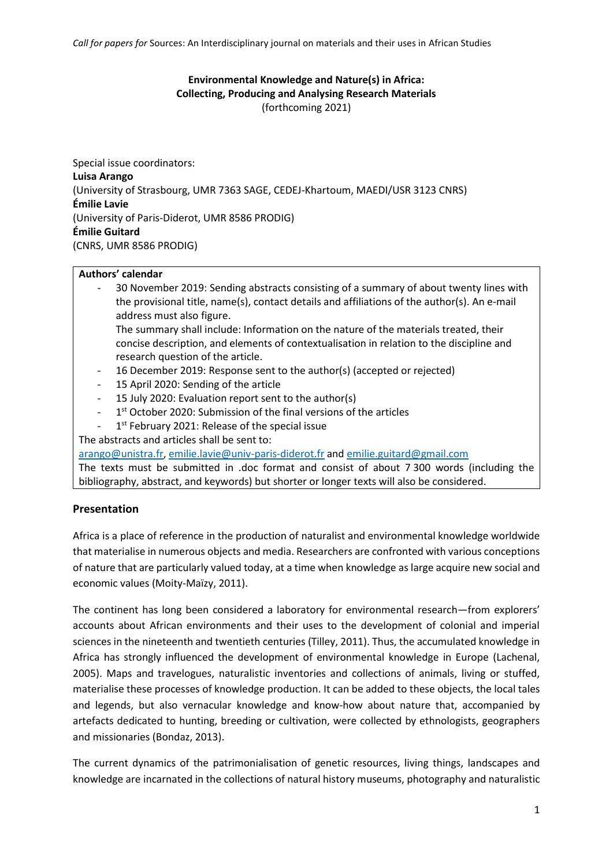*Call for papers for* Sources: An Interdisciplinary journal on materials and their uses in African Studies

## **Environmental Knowledge and Nature(s) in Africa: Collecting, Producing and Analysing Research Materials** (forthcoming 2021)

Special issue coordinators: **Luisa Arango**  (University of Strasbourg, UMR 7363 SAGE, CEDEJ-Khartoum, MAEDI/USR 3123 CNRS) **Émilie Lavie**  (University of Paris-Diderot, UMR 8586 PRODIG) **Émilie Guitard** (CNRS, UMR 8586 PRODIG)

## **Authors' calendar**

- 30 November 2019: Sending abstracts consisting of a summary of about twenty lines with the provisional title, name(s), contact details and affiliations of the author(s). An e-mail address must also figure.

The summary shall include: Information on the nature of the materials treated, their concise description, and elements of contextualisation in relation to the discipline and research question of the article.

- 16 December 2019: Response sent to the author(s) (accepted or rejected)
- 15 April 2020: Sending of the article
- 15 July 2020: Evaluation report sent to the author(s)
- 1<sup>st</sup> October 2020: Submission of the final versions of the articles
- 1<sup>st</sup> February 2021: Release of the special issue

The abstracts and articles shall be sent to:

[arango@unistra.fr,](mailto:arango@unistra.fr) [emilie.lavie@univ-paris-diderot.fr](mailto:emilie.lavie@univ-paris-diderot.fr) an[d emilie.guitard@gmail.com](mailto:emilie.guitard@gmail.com)

The texts must be submitted in .doc format and consist of about 7 300 words (including the bibliography, abstract, and keywords) but shorter or longer texts will also be considered.

## **Presentation**

Africa is a place of reference in the production of naturalist and environmental knowledge worldwide that materialise in numerous objects and media. Researchers are confronted with various conceptions of nature that are particularly valued today, at a time when knowledge as large acquire new social and economic values (Moity-Maïzy, 2011).

The continent has long been considered a laboratory for environmental research—from explorers' accounts about African environments and their uses to the development of colonial and imperial sciences in the nineteenth and twentieth centuries (Tilley, 2011). Thus, the accumulated knowledge in Africa has strongly influenced the development of environmental knowledge in Europe (Lachenal, 2005). Maps and travelogues, naturalistic inventories and collections of animals, living or stuffed, materialise these processes of knowledge production. It can be added to these objects, the local tales and legends, but also vernacular knowledge and know-how about nature that, accompanied by artefacts dedicated to hunting, breeding or cultivation, were collected by ethnologists, geographers and missionaries (Bondaz, 2013).

The current dynamics of the patrimonialisation of genetic resources, living things, landscapes and knowledge are incarnated in the collections of natural history museums, photography and naturalistic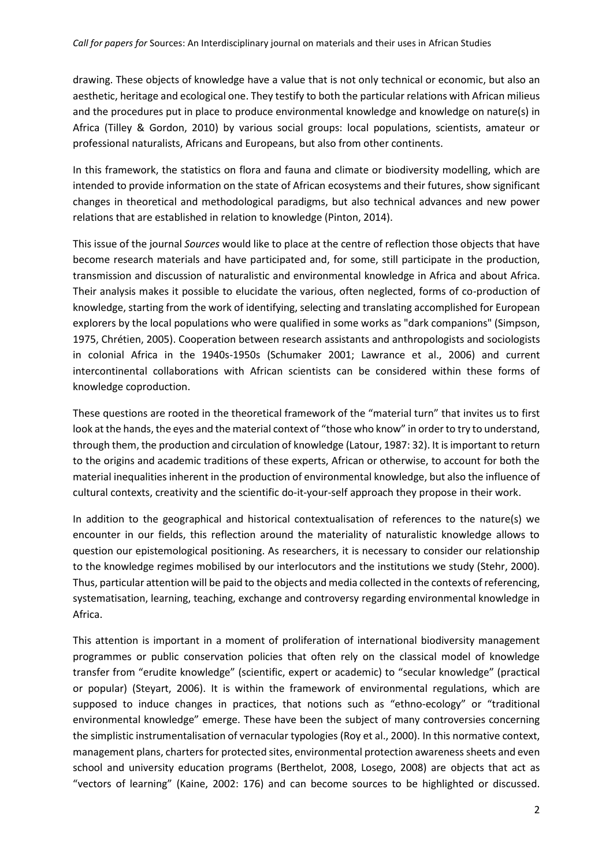drawing. These objects of knowledge have a value that is not only technical or economic, but also an aesthetic, heritage and ecological one. They testify to both the particular relations with African milieus and the procedures put in place to produce environmental knowledge and knowledge on nature(s) in Africa (Tilley & Gordon, 2010) by various social groups: local populations, scientists, amateur or professional naturalists, Africans and Europeans, but also from other continents.

In this framework, the statistics on flora and fauna and climate or biodiversity modelling, which are intended to provide information on the state of African ecosystems and their futures, show significant changes in theoretical and methodological paradigms, but also technical advances and new power relations that are established in relation to knowledge (Pinton, 2014).

This issue of the journal *Sources* would like to place at the centre of reflection those objects that have become research materials and have participated and, for some, still participate in the production, transmission and discussion of naturalistic and environmental knowledge in Africa and about Africa. Their analysis makes it possible to elucidate the various, often neglected, forms of co-production of knowledge, starting from the work of identifying, selecting and translating accomplished for European explorers by the local populations who were qualified in some works as "dark companions" (Simpson, 1975, Chrétien, 2005). Cooperation between research assistants and anthropologists and sociologists in colonial Africa in the 1940s-1950s (Schumaker 2001; Lawrance et al., 2006) and current intercontinental collaborations with African scientists can be considered within these forms of knowledge coproduction.

These questions are rooted in the theoretical framework of the "material turn" that invites us to first look at the hands, the eyes and the material context of "those who know" in order to try to understand, through them, the production and circulation of knowledge (Latour, 1987: 32). It is important to return to the origins and academic traditions of these experts, African or otherwise, to account for both the material inequalities inherent in the production of environmental knowledge, but also the influence of cultural contexts, creativity and the scientific do-it-your-self approach they propose in their work.

In addition to the geographical and historical contextualisation of references to the nature(s) we encounter in our fields, this reflection around the materiality of naturalistic knowledge allows to question our epistemological positioning. As researchers, it is necessary to consider our relationship to the knowledge regimes mobilised by our interlocutors and the institutions we study (Stehr, 2000). Thus, particular attention will be paid to the objects and media collected in the contexts of referencing, systematisation, learning, teaching, exchange and controversy regarding environmental knowledge in Africa.

This attention is important in a moment of proliferation of international biodiversity management programmes or public conservation policies that often rely on the classical model of knowledge transfer from "erudite knowledge" (scientific, expert or academic) to "secular knowledge" (practical or popular) (Steyart, 2006). It is within the framework of environmental regulations, which are supposed to induce changes in practices, that notions such as "ethno-ecology" or "traditional environmental knowledge" emerge. These have been the subject of many controversies concerning the simplistic instrumentalisation of vernacular typologies (Roy et al., 2000). In this normative context, management plans, charters for protected sites, environmental protection awareness sheets and even school and university education programs (Berthelot, 2008, Losego, 2008) are objects that act as "vectors of learning" (Kaine, 2002: 176) and can become sources to be highlighted or discussed.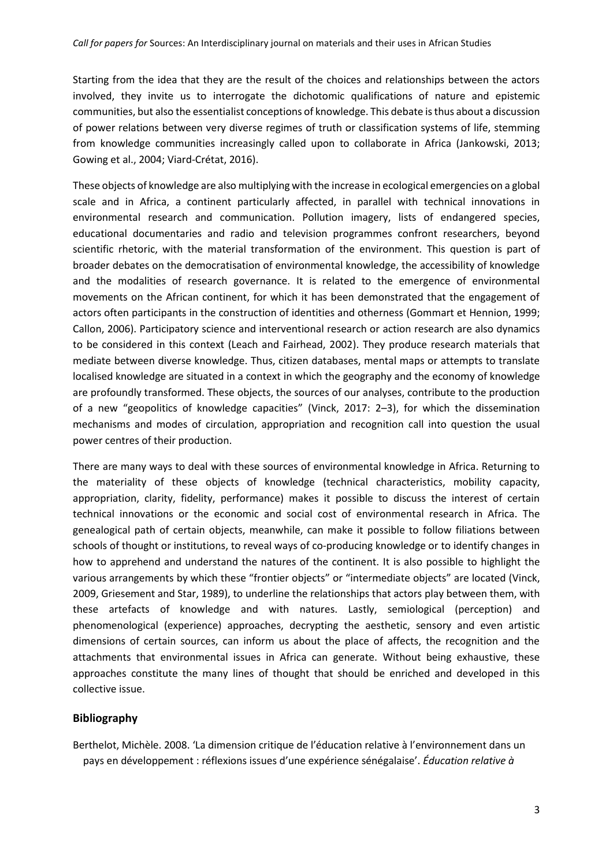Starting from the idea that they are the result of the choices and relationships between the actors involved, they invite us to interrogate the dichotomic qualifications of nature and epistemic communities, but also the essentialist conceptions of knowledge. This debate is thus about a discussion of power relations between very diverse regimes of truth or classification systems of life, stemming from knowledge communities increasingly called upon to collaborate in Africa (Jankowski, 2013; Gowing et al., 2004; Viard-Crétat, 2016).

These objects of knowledge are also multiplying with the increase in ecological emergencies on a global scale and in Africa, a continent particularly affected, in parallel with technical innovations in environmental research and communication. Pollution imagery, lists of endangered species, educational documentaries and radio and television programmes confront researchers, beyond scientific rhetoric, with the material transformation of the environment. This question is part of broader debates on the democratisation of environmental knowledge, the accessibility of knowledge and the modalities of research governance. It is related to the emergence of environmental movements on the African continent, for which it has been demonstrated that the engagement of actors often participants in the construction of identities and otherness (Gommart et Hennion, 1999; Callon, 2006). Participatory science and interventional research or action research are also dynamics to be considered in this context (Leach and Fairhead, 2002). They produce research materials that mediate between diverse knowledge. Thus, citizen databases, mental maps or attempts to translate localised knowledge are situated in a context in which the geography and the economy of knowledge are profoundly transformed. These objects, the sources of our analyses, contribute to the production of a new "geopolitics of knowledge capacities" (Vinck, 2017: 2–3), for which the dissemination mechanisms and modes of circulation, appropriation and recognition call into question the usual power centres of their production.

There are many ways to deal with these sources of environmental knowledge in Africa. Returning to the materiality of these objects of knowledge (technical characteristics, mobility capacity, appropriation, clarity, fidelity, performance) makes it possible to discuss the interest of certain technical innovations or the economic and social cost of environmental research in Africa. The genealogical path of certain objects, meanwhile, can make it possible to follow filiations between schools of thought or institutions, to reveal ways of co-producing knowledge or to identify changes in how to apprehend and understand the natures of the continent. It is also possible to highlight the various arrangements by which these "frontier objects" or "intermediate objects" are located (Vinck, 2009, Griesement and Star, 1989), to underline the relationships that actors play between them, with these artefacts of knowledge and with natures. Lastly, semiological (perception) and phenomenological (experience) approaches, decrypting the aesthetic, sensory and even artistic dimensions of certain sources, can inform us about the place of affects, the recognition and the attachments that environmental issues in Africa can generate. Without being exhaustive, these approaches constitute the many lines of thought that should be enriched and developed in this collective issue.

## **Bibliography**

Berthelot, Michèle. 2008. 'La dimension critique de l'éducation relative à l'environnement dans un pays en développement : réflexions issues d'une expérience sénégalaise'. *Éducation relative à*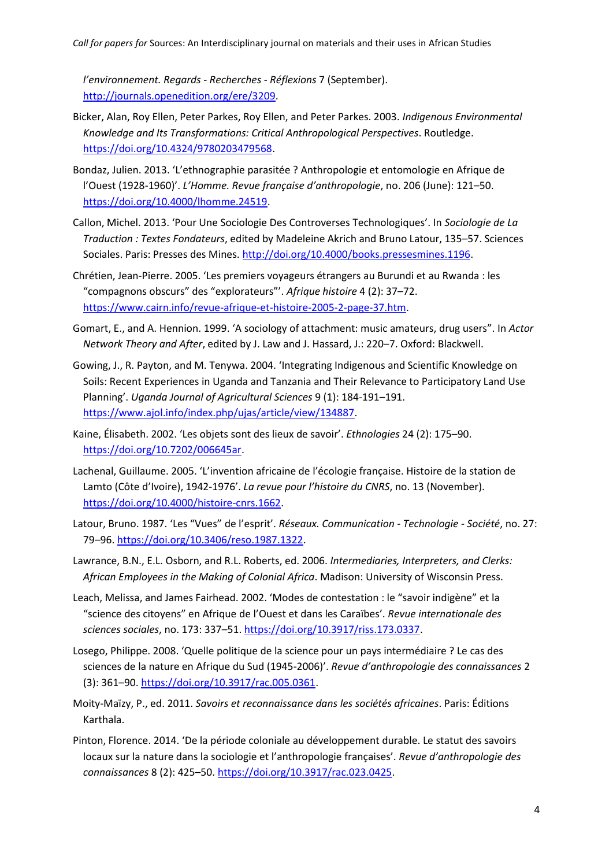*l'environnement. Regards - Recherches - Réflexions* 7 (September). [http://journals.openedition.org/ere/3209.](http://journals.openedition.org/ere/3209)

- Bicker, Alan, Roy Ellen, Peter Parkes, Roy Ellen, and Peter Parkes. 2003. *Indigenous Environmental Knowledge and Its Transformations: Critical Anthropological Perspectives*. Routledge. [https://doi.org/10.4324/9780203479568.](https://doi.org/10.4324/9780203479568)
- Bondaz, Julien. 2013. 'L'ethnographie parasitée ? Anthropologie et entomologie en Afrique de l'Ouest (1928-1960)'. *L'Homme. Revue française d'anthropologie*, no. 206 (June): 121–50. [https://doi.org/10.4000/lhomme.24519.](https://doi.org/10.4000/lhomme.24519)
- Callon, Michel. 2013. 'Pour Une Sociologie Des Controverses Technologiques'. In *Sociologie de La Traduction : Textes Fondateurs*, edited by Madeleine Akrich and Bruno Latour, 135–57. Sciences Sociales. Paris: Presses des Mines. [http://doi.org/10.4000/books.pressesmines.1196.](http://doi.org/10.4000/books.pressesmines.1196)
- Chrétien, Jean-Pierre. 2005. 'Les premiers voyageurs étrangers au Burundi et au Rwanda : les "compagnons obscurs" des "explorateurs"'. *Afrique histoire* 4 (2): 37–72. [https://www.cairn.info/revue-afrique-et-histoire-2005-2-page-37.htm.](https://www.cairn.info/revue-afrique-et-histoire-2005-2-page-37.htm)
- Gomart, E., and A. Hennion. 1999. 'A sociology of attachment: music amateurs, drug users". In *Actor Network Theory and After*, edited by J. Law and J. Hassard, J.: 220–7. Oxford: Blackwell.
- Gowing, J., R. Payton, and M. Tenywa. 2004. 'Integrating Indigenous and Scientific Knowledge on Soils: Recent Experiences in Uganda and Tanzania and Their Relevance to Participatory Land Use Planning'. *Uganda Journal of Agricultural Sciences* 9 (1): 184-191–191. [https://www.ajol.info/index.php/ujas/article/view/134887.](https://www.ajol.info/index.php/ujas/article/view/134887)
- Kaine, Élisabeth. 2002. 'Les objets sont des lieux de savoir'. *Ethnologies* 24 (2): 175–90. [https://doi.org/10.7202/006645ar.](https://doi.org/10.7202/006645ar)
- Lachenal, Guillaume. 2005. 'L'invention africaine de l'écologie française. Histoire de la station de Lamto (Côte d'Ivoire), 1942-1976'. *La revue pour l'histoire du CNRS*, no. 13 (November). [https://doi.org/10.4000/histoire-cnrs.1662.](https://doi.org/10.4000/histoire-cnrs.1662)
- Latour, Bruno. 1987. 'Les "Vues" de l'esprit'. *Réseaux. Communication - Technologie - Société*, no. 27: 79–96. [https://doi.org/10.3406/reso.1987.1322.](https://doi.org/10.3406/reso.1987.1322)
- Lawrance, B.N., E.L. Osborn, and R.L. Roberts, ed. 2006. *Intermediaries, Interpreters, and Clerks: African Employees in the Making of Colonial Africa*. Madison: University of Wisconsin Press.
- Leach, Melissa, and James Fairhead. 2002. 'Modes de contestation : le "savoir indigène" et la "science des citoyens" en Afrique de l'Ouest et dans les Caraïbes'. *Revue internationale des sciences sociales*, no. 173: 337–51. [https://doi.org/10.3917/riss.173.0337.](https://doi.org/10.3917/riss.173.0337)
- Losego, Philippe. 2008. 'Quelle politique de la science pour un pays intermédiaire ? Le cas des sciences de la nature en Afrique du Sud (1945-2006)'. *Revue d'anthropologie des connaissances* 2 (3): 361–90. [https://doi.org/10.3917/rac.005.0361.](https://doi.org/10.3917/rac.005.0361)
- Moity-Maïzy, P., ed. 2011. *Savoirs et reconnaissance dans les sociétés africaines*. Paris: Éditions Karthala.
- Pinton, Florence. 2014. 'De la période coloniale au développement durable. Le statut des savoirs locaux sur la nature dans la sociologie et l'anthropologie françaises'. *Revue d'anthropologie des connaissances* 8 (2): 425–50. [https://doi.org/10.3917/rac.023.0425.](https://doi.org/10.3917/rac.023.0425)